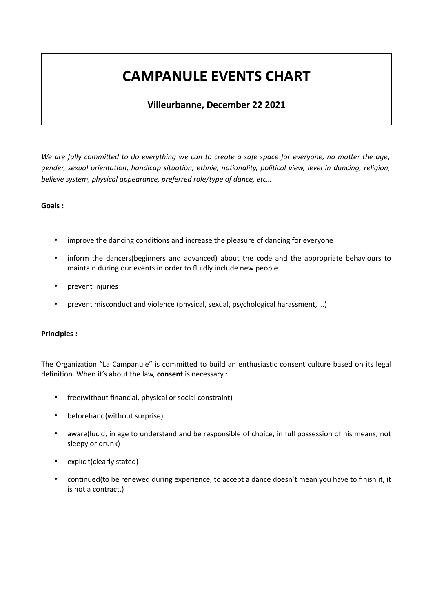# **CAMPANULE EVENTS CHART**

# **Villeurbanne, December 22 2021**

*We are fully committed to do everything we can to create a safe space for everyone, no matter the age, gender, sexual orientation, handicap situation, ethnie, nationality, political view, level in dancing, religion, believe system, physical appearance, preferred role/type of dance, etc…*

# **Goals :**

- improve the dancing conditions and increase the pleasure of dancing for everyone
- inform the dancers(beginners and advanced) about the code and the appropriate behaviours to maintain during our events in order to fluidly include new people.
- prevent injuries
- prevent misconduct and violence (physical, sexual, psychological harassment, ...)

# **Principles :**

The Organization "La Campanule" is committed to build an enthusiastic consent culture based on its legal definition. When it's about the law, **consent** is necessary :

- free(without financial, physical or social constraint)
- beforehand(without surprise)
- aware(lucid, in age to understand and be responsible of choice, in full possession of his means, not sleepy or drunk)
- explicit(clearly stated)
- continued(to be renewed during experience, to accept a dance doesn't mean you have to finish it, it is not a contract.)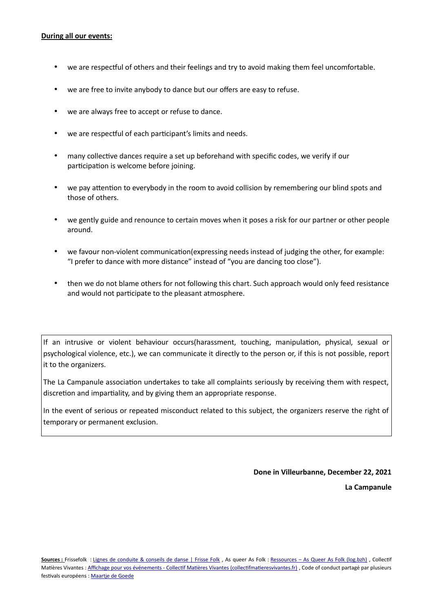#### **During all our events:**

- we are respectful of others and their feelings and try to avoid making them feel uncomfortable.
- we are free to invite anybody to dance but our offers are easy to refuse.
- we are always free to accept or refuse to dance.
- we are respectful of each participant's limits and needs.
- many collective dances require a set up beforehand with specific codes, we verify if our participation is welcome before joining.
- we pay attention to everybody in the room to avoid collision by remembering our blind spots and those of others.
- we gently guide and renounce to certain moves when it poses a risk for our partner or other people around.
- we favour non-violent communication(expressing needs instead of judging the other, for example: "I prefer to dance with more distance" instead of "you are dancing too close").
- then we do not blame others for not following this chart. Such approach would only feed resistance and would not participate to the pleasant atmosphere.

If an intrusive or violent behaviour occurs(harassment, touching, manipulation, physical, sexual or psychological violence, etc.), we can communicate it directly to the person or, if this is not possible, report it to the organizers.

The La Campanule association undertakes to take all complaints seriously by receiving them with respect, discretion and impartiality, and by giving them an appropriate response.

In the event of serious or repeated misconduct related to this subject, the organizers reserve the right of temporary or permanent exclusion.

**Done in Villeurbanne, December 22, 2021**

**La Campanule**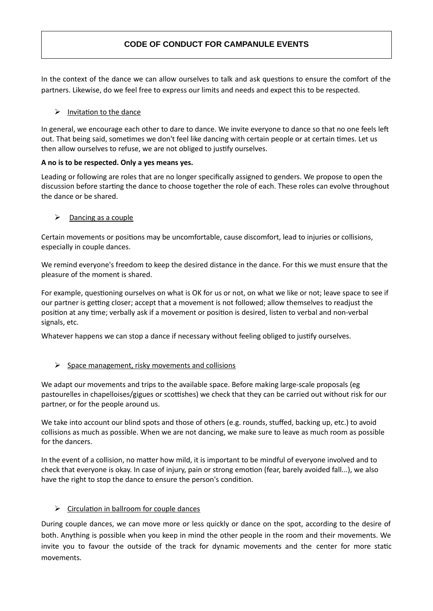# **CODE OF CONDUCT FOR CAMPANULE EVENTS**

In the context of the dance we can allow ourselves to talk and ask questions to ensure the comfort of the partners. Likewise, do we feel free to express our limits and needs and expect this to be respected.

# $\triangleright$  Invitation to the dance

In general, we encourage each other to dare to dance. We invite everyone to dance so that no one feels left out. That being said, sometimes we don't feel like dancing with certain people or at certain times. Let us then allow ourselves to refuse, we are not obliged to justify ourselves.

# **A no is to be respected. Only a yes means yes.**

Leading or following are roles that are no longer specifically assigned to genders. We propose to open the discussion before starting the dance to choose together the role of each. These roles can evolve throughout the dance or be shared.

# ➢ Dancing as a couple

Certain movements or positions may be uncomfortable, cause discomfort, lead to injuries or collisions, especially in couple dances.

We remind everyone's freedom to keep the desired distance in the dance. For this we must ensure that the pleasure of the moment is shared.

For example, questioning ourselves on what is OK for us or not, on what we like or not; leave space to see if our partner is getting closer; accept that a movement is not followed; allow themselves to readjust the position at any time; verbally ask if a movement or position is desired, listen to verbal and non-verbal signals, etc.

Whatever happens we can stop a dance if necessary without feeling obliged to justify ourselves.

# $\triangleright$  Space management, risky movements and collisions

We adapt our movements and trips to the available space. Before making large-scale proposals (eg pastourelles in chapelloises/gigues or scottishes) we check that they can be carried out without risk for our partner, or for the people around us.

We take into account our blind spots and those of others (e.g. rounds, stuffed, backing up, etc.) to avoid collisions as much as possible. When we are not dancing, we make sure to leave as much room as possible for the dancers.

In the event of a collision, no matter how mild, it is important to be mindful of everyone involved and to check that everyone is okay. In case of injury, pain or strong emotion (fear, barely avoided fall...), we also have the right to stop the dance to ensure the person's condition.

# $\triangleright$  Circulation in ballroom for couple dances

During couple dances, we can move more or less quickly or dance on the spot, according to the desire of both. Anything is possible when you keep in mind the other people in the room and their movements. We invite you to favour the outside of the track for dynamic movements and the center for more static movements.